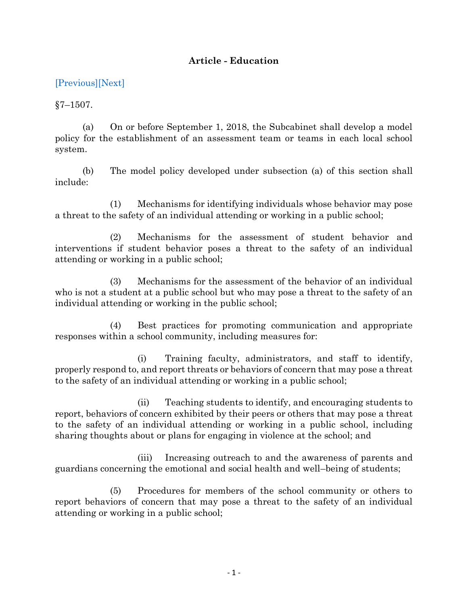## **Article - Education**

## [\[Previous\]](http://mgaleg.maryland.gov/2021RS/Statute_Web/ged/7-1506.pdf)[\[Next\]](http://mgaleg.maryland.gov/2021RS/Statute_Web/ged/7-1508.pdf)

 $§7 - 1507.$ 

(a) On or before September 1, 2018, the Subcabinet shall develop a model policy for the establishment of an assessment team or teams in each local school system.

(b) The model policy developed under subsection (a) of this section shall include:

(1) Mechanisms for identifying individuals whose behavior may pose a threat to the safety of an individual attending or working in a public school;

(2) Mechanisms for the assessment of student behavior and interventions if student behavior poses a threat to the safety of an individual attending or working in a public school;

(3) Mechanisms for the assessment of the behavior of an individual who is not a student at a public school but who may pose a threat to the safety of an individual attending or working in the public school;

(4) Best practices for promoting communication and appropriate responses within a school community, including measures for:

(i) Training faculty, administrators, and staff to identify, properly respond to, and report threats or behaviors of concern that may pose a threat to the safety of an individual attending or working in a public school;

(ii) Teaching students to identify, and encouraging students to report, behaviors of concern exhibited by their peers or others that may pose a threat to the safety of an individual attending or working in a public school, including sharing thoughts about or plans for engaging in violence at the school; and

(iii) Increasing outreach to and the awareness of parents and guardians concerning the emotional and social health and well–being of students;

(5) Procedures for members of the school community or others to report behaviors of concern that may pose a threat to the safety of an individual attending or working in a public school;